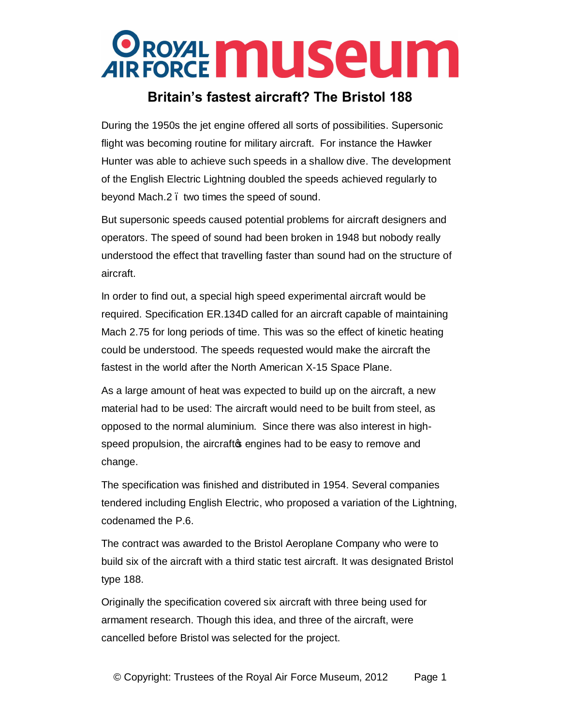#### **Britain's fastest aircraft? The Bristol 188**

During the 1950s the jet engine offered all sorts of possibilities. Supersonic flight was becoming routine for military aircraft. For instance the Hawker Hunter was able to achieve such speeds in a shallow dive. The development of the English Electric Lightning doubled the speeds achieved regularly to beyond Mach.2 – two times the speed of sound.

But supersonic speeds caused potential problems for aircraft designers and operators. The speed of sound had been broken in 1948 but nobody really understood the effect that travelling faster than sound had on the structure of aircraft.

In order to find out, a special high speed experimental aircraft would be required. Specification ER.134D called for an aircraft capable of maintaining Mach 2.75 for long periods of time. This was so the effect of kinetic heating could be understood. The speeds requested would make the aircraft the fastest in the world after the North American X-15 Space Plane.

As a large amount of heat was expected to build up on the aircraft, a new material had to be used: The aircraft would need to be built from steel, as opposed to the normal aluminium. Since there was also interest in highspeed propulsion, the aircraft negines had to be easy to remove and change.

The specification was finished and distributed in 1954. Several companies tendered including English Electric, who proposed a variation of the Lightning, codenamed the P.6.

The contract was awarded to the Bristol Aeroplane Company who were to build six of the aircraft with a third static test aircraft. It was designated Bristol type 188.

Originally the specification covered six aircraft with three being used for armament research. Though this idea, and three of the aircraft, were cancelled before Bristol was selected for the project.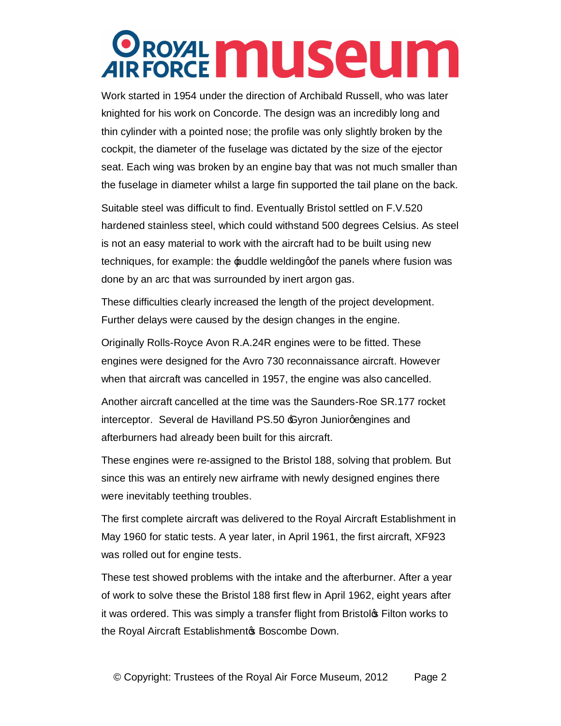Work started in 1954 under the direction of Archibald Russell, who was later knighted for his work on Concorde. The design was an incredibly long and thin cylinder with a pointed nose; the profile was only slightly broken by the cockpit, the diameter of the fuselage was dictated by the size of the ejector seat. Each wing was broken by an engine bay that was not much smaller than the fuselage in diameter whilst a large fin supported the tail plane on the back.

Suitable steel was difficult to find. Eventually Bristol settled on F.V.520 hardened stainless steel, which could withstand 500 degrees Celsius. As steel is not an easy material to work with the aircraft had to be built using new techniques, for example: the puddle welding of the panels where fusion was done by an arc that was surrounded by inert argon gas.

These difficulties clearly increased the length of the project development. Further delays were caused by the design changes in the engine.

Originally Rolls-Royce Avon R.A.24R engines were to be fitted. These engines were designed for the Avro 730 reconnaissance aircraft. However when that aircraft was cancelled in 1957, the engine was also cancelled.

Another aircraft cancelled at the time was the Saunders-Roe SR.177 rocket interceptor. Several de Havilland PS.50  $\epsilon$ yron Juniorgengines and afterburners had already been built for this aircraft.

These engines were re-assigned to the Bristol 188, solving that problem. But since this was an entirely new airframe with newly designed engines there were inevitably teething troubles.

The first complete aircraft was delivered to the Royal Aircraft Establishment in May 1960 for static tests. A year later, in April 1961, the first aircraft, XF923 was rolled out for engine tests.

These test showed problems with the intake and the afterburner. After a year of work to solve these the Bristol 188 first flew in April 1962, eight years after it was ordered. This was simply a transfer flight from Bristolos Filton works to the Royal Aircraft Establishment & Boscombe Down.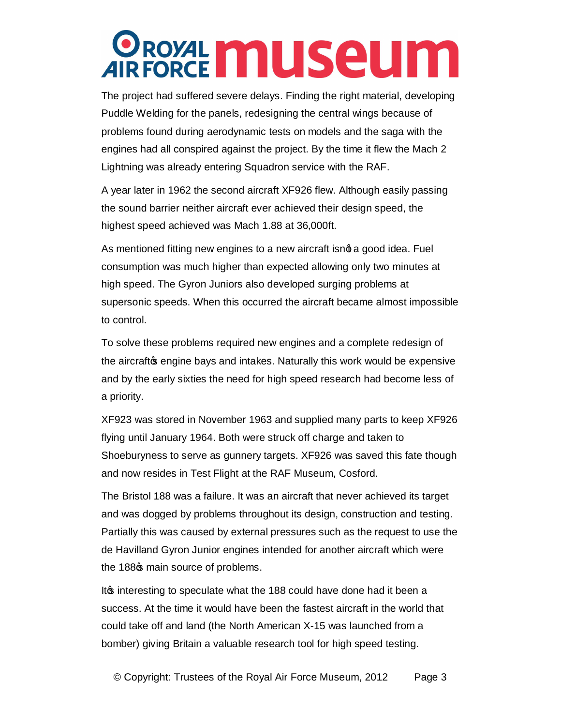The project had suffered severe delays. Finding the right material, developing Puddle Welding for the panels, redesigning the central wings because of problems found during aerodynamic tests on models and the saga with the engines had all conspired against the project. By the time it flew the Mach 2 Lightning was already entering Squadron service with the RAF.

A year later in 1962 the second aircraft XF926 flew. Although easily passing the sound barrier neither aircraft ever achieved their design speed, the highest speed achieved was Mach 1.88 at 36,000ft.

As mentioned fitting new engines to a new aircraft isnot a good idea. Fuel consumption was much higher than expected allowing only two minutes at high speed. The Gyron Juniors also developed surging problems at supersonic speeds. When this occurred the aircraft became almost impossible to control.

To solve these problems required new engines and a complete redesign of the aircraft age engine bays and intakes. Naturally this work would be expensive and by the early sixties the need for high speed research had become less of a priority.

XF923 was stored in November 1963 and supplied many parts to keep XF926 flying until January 1964. Both were struck off charge and taken to Shoeburyness to serve as gunnery targets. XF926 was saved this fate though and now resides in Test Flight at the RAF Museum, Cosford.

The Bristol 188 was a failure. It was an aircraft that never achieved its target and was dogged by problems throughout its design, construction and testing. Partially this was caused by external pressures such as the request to use the de Havilland Gyron Junior engines intended for another aircraft which were the 188 $\sigma$  main source of problems.

It form interesting to speculate what the 188 could have done had it been a success. At the time it would have been the fastest aircraft in the world that could take off and land (the North American X-15 was launched from a bomber) giving Britain a valuable research tool for high speed testing.